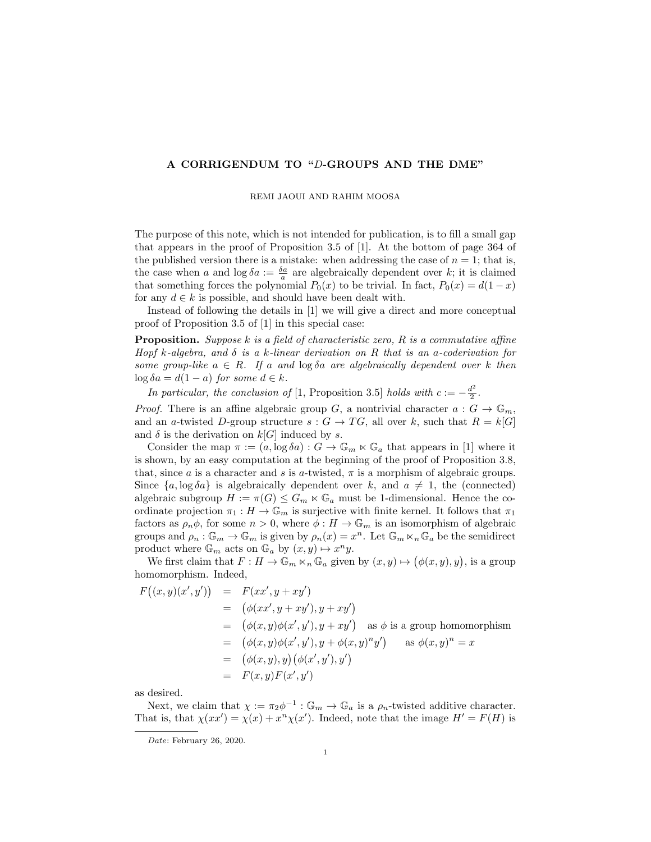## A CORRIGENDUM TO "D-GROUPS AND THE DME"

## REMI JAOUI AND RAHIM MOOSA

The purpose of this note, which is not intended for publication, is to fill a small gap that appears in the proof of Proposition 3.5 of [1]. At the bottom of page 364 of the published version there is a mistake: when addressing the case of  $n = 1$ ; that is, the case when a and  $\log \delta a := \frac{\delta a}{a}$  are algebraically dependent over k; it is claimed that something forces the polynomial  $P_0(x)$  to be trivial. In fact,  $P_0(x) = d(1-x)$ for any  $d \in k$  is possible, and should have been dealt with.

Instead of following the details in [1] we will give a direct and more conceptual proof of Proposition 3.5 of [1] in this special case:

**Proposition.** Suppose k is a field of characteristic zero,  $R$  is a commutative affine Hopf k-algebra, and  $\delta$  is a k-linear derivation on R that is an a-coderivation for some group-like  $a \in R$ . If a and  $\log \delta a$  are algebraically dependent over k then  $\log \delta a = d(1-a)$  for some  $d \in k$ .

In particular, the conclusion of [1, Proposition 3.5] holds with  $c := -\frac{d^2}{2}$  $\frac{t^2}{2}$ .

*Proof.* There is an affine algebraic group G, a nontrivial character  $a: G \to \mathbb{G}_m$ , and an a-twisted D-group structure  $s: G \to TG$ , all over k, such that  $R = k[G]$ and  $\delta$  is the derivation on  $k[G]$  induced by s.

Consider the map  $\pi := (a, \log \delta a) : G \to \mathbb{G}_m \ltimes \mathbb{G}_a$  that appears in [1] where it is shown, by an easy computation at the beginning of the proof of Proposition 3.8, that, since a is a character and s is a-twisted,  $\pi$  is a morphism of algebraic groups. Since  $\{a, \log \delta a\}$  is algebraically dependent over k, and  $a \neq 1$ , the (connected) algebraic subgroup  $H := \pi(G) \leq G_m \ltimes \mathbb{G}_a$  must be 1-dimensional. Hence the coordinate projection  $\pi_1 : H \to \mathbb{G}_m$  is surjective with finite kernel. It follows that  $\pi_1$ factors as  $\rho_n \phi$ , for some  $n > 0$ , where  $\phi : H \to \mathbb{G}_m$  is an isomorphism of algebraic groups and  $\rho_n : \mathbb{G}_m \to \mathbb{G}_m$  is given by  $\rho_n(x) = x^n$ . Let  $\mathbb{G}_m \ltimes_n \mathbb{G}_a$  be the semidirect product where  $\mathbb{G}_m$  acts on  $\mathbb{G}_a$  by  $(x, y) \mapsto x^n y$ .

We first claim that  $F: H \to \mathbb{G}_m \ltimes_n \mathbb{G}_a$  given by  $(x, y) \mapsto (\phi(x, y), y)$ , is a group homomorphism. Indeed,

$$
F((x,y)(x',y')) = F(xx', y + xy')
$$
  
\n
$$
= (\phi(xx', y + xy'), y + xy')
$$
  
\n
$$
= (\phi(x,y)\phi(x',y'), y + xy') \text{ as } \phi \text{ is a group homomorphism}
$$
  
\n
$$
= (\phi(x,y)\phi(x',y'), y + \phi(x,y)^n y') \text{ as } \phi(x,y)^n = x
$$
  
\n
$$
= (\phi(x,y), y) (\phi(x',y'), y')
$$
  
\n
$$
= F(x,y)F(x',y')
$$

as desired.

Next, we claim that  $\chi := \pi_2 \phi^{-1} : \mathbb{G}_m \to \mathbb{G}_a$  is a  $\rho_n$ -twisted additive character. That is, that  $\chi(xx') = \chi(x) + x^n \chi(x')$ . Indeed, note that the image  $H' = F(H)$  is

Date: February 26, 2020.